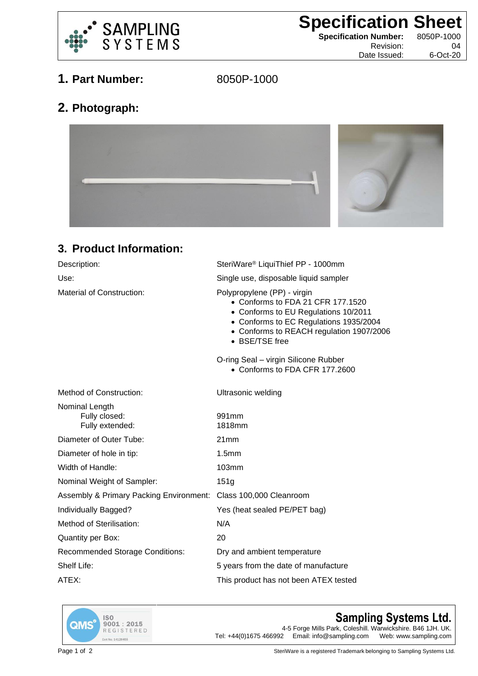

**Specification Sheet**<br> **Specification Number:** 8050P-1000

**Specification Number:** 

Revision: 04 Date Issued: 6-Oct-20

## **1. Part Number:** 8050P-1000

## **2. Photograph:**



## **3. Product Information:**

| Description:                                                    | SteriWare <sup>®</sup> LiquiThief PP - 1000mm                                                                                                                                                                    |
|-----------------------------------------------------------------|------------------------------------------------------------------------------------------------------------------------------------------------------------------------------------------------------------------|
| Use:                                                            | Single use, disposable liquid sampler                                                                                                                                                                            |
| Material of Construction:                                       | Polypropylene (PP) - virgin<br>• Conforms to FDA 21 CFR 177.1520<br>• Conforms to EU Regulations 10/2011<br>• Conforms to EC Regulations 1935/2004<br>• Conforms to REACH regulation 1907/2006<br>• BSE/TSE free |
|                                                                 | O-ring Seal - virgin Silicone Rubber<br>• Conforms to FDA CFR 177.2600                                                                                                                                           |
| <b>Method of Construction:</b>                                  | Ultrasonic welding                                                                                                                                                                                               |
| Nominal Length<br>Fully closed:<br>Fully extended:              | 991mm<br>1818mm                                                                                                                                                                                                  |
| Diameter of Outer Tube:                                         | 21mm                                                                                                                                                                                                             |
| Diameter of hole in tip:                                        | 1.5mm                                                                                                                                                                                                            |
| Width of Handle:                                                | 103mm                                                                                                                                                                                                            |
| Nominal Weight of Sampler:                                      | 151g                                                                                                                                                                                                             |
| Assembly & Primary Packing Environment: Class 100,000 Cleanroom |                                                                                                                                                                                                                  |
| Individually Bagged?                                            | Yes (heat sealed PE/PET bag)                                                                                                                                                                                     |
| Method of Sterilisation:                                        | N/A                                                                                                                                                                                                              |
| <b>Quantity per Box:</b>                                        | 20                                                                                                                                                                                                               |
| <b>Recommended Storage Conditions:</b>                          | Dry and ambient temperature                                                                                                                                                                                      |
| Shelf Life:                                                     | 5 years from the date of manufacture                                                                                                                                                                             |
| ATEX:                                                           | This product has not been ATEX tested                                                                                                                                                                            |
|                                                                 |                                                                                                                                                                                                                  |



## **Sampling Systems Ltd.**

4-5 Forge Mills Park, Coleshill. Warwickshire. B46 1JH. UK.<br>2 Email: info@sampling.com Web: www.sampling.com Tel:  $+44(0)1675466992$  Email: info@sampling.com